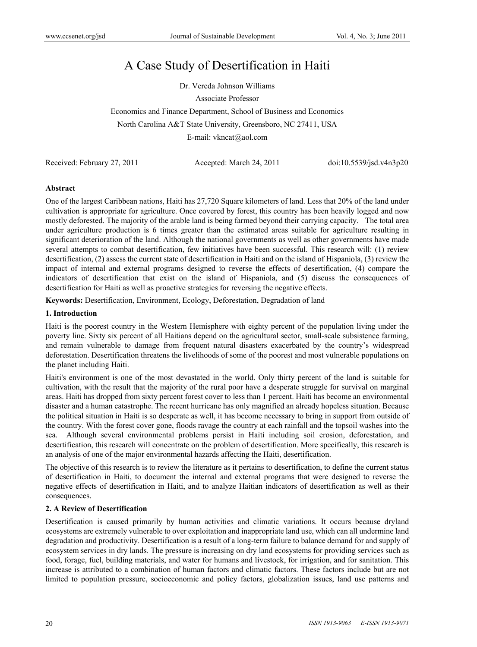# A Case Study of Desertification in Haiti

Dr. Vereda Johnson Williams

Associate Professor

Economics and Finance Department, School of Business and Economics

North Carolina A&T State University, Greensboro, NC 27411, USA

E-mail: vkncat@aol.com

Received: February 27, 2011 Accepted: March 24, 2011 doi:10.5539/jsd.v4n3p20

# **Abstract**

One of the largest Caribbean nations, Haiti has 27,720 Square kilometers of land. Less that 20% of the land under cultivation is appropriate for agriculture. Once covered by forest, this country has been heavily logged and now mostly deforested. The majority of the arable land is being farmed beyond their carrying capacity. The total area under agriculture production is 6 times greater than the estimated areas suitable for agriculture resulting in significant deterioration of the land. Although the national governments as well as other governments have made several attempts to combat desertification, few initiatives have been successful. This research will: (1) review desertification, (2) assess the current state of desertification in Haiti and on the island of Hispaniola, (3) review the impact of internal and external programs designed to reverse the effects of desertification, (4) compare the indicators of desertification that exist on the island of Hispaniola, and (5) discuss the consequences of desertification for Haiti as well as proactive strategies for reversing the negative effects.

**Keywords:** Desertification, Environment, Ecology, Deforestation, Degradation of land

# **1. Introduction**

Haiti is the poorest country in the Western Hemisphere with eighty percent of the population living under the poverty line. Sixty six percent of all Haitians depend on the agricultural sector, small-scale subsistence farming, and remain vulnerable to damage from frequent natural disasters exacerbated by the country's widespread deforestation. Desertification threatens the livelihoods of some of the poorest and most vulnerable populations on the planet including Haiti.

Haiti's environment is one of the most devastated in the world. Only thirty percent of the land is suitable for cultivation, with the result that the majority of the rural poor have a desperate struggle for survival on marginal areas. Haiti has dropped from sixty percent forest cover to less than 1 percent. Haiti has become an environmental disaster and a human catastrophe. The recent hurricane has only magnified an already hopeless situation. Because the political situation in Haiti is so desperate as well, it has become necessary to bring in support from outside of the country. With the forest cover gone, floods ravage the country at each rainfall and the topsoil washes into the sea. Although several environmental problems persist in Haiti including soil erosion, deforestation, and desertification, this research will concentrate on the problem of desertification. More specifically, this research is an analysis of one of the major environmental hazards affecting the Haiti, desertification.

The objective of this research is to review the literature as it pertains to desertification, to define the current status of desertification in Haiti, to document the internal and external programs that were designed to reverse the negative effects of desertification in Haiti, and to analyze Haitian indicators of desertification as well as their consequences.

# **2. A Review of Desertification**

Desertification is caused primarily by human activities and climatic variations. It occurs because dryland ecosystems are extremely vulnerable to over exploitation and inappropriate land use, which can all undermine land degradation and productivity. Desertification is a result of a long-term failure to balance demand for and supply of ecosystem services in dry lands. The pressure is increasing on dry land ecosystems for providing services such as food, forage, fuel, building materials, and water for humans and livestock, for irrigation, and for sanitation. This increase is attributed to a combination of human factors and climatic factors. These factors include but are not limited to population pressure, socioeconomic and policy factors, globalization issues, land use patterns and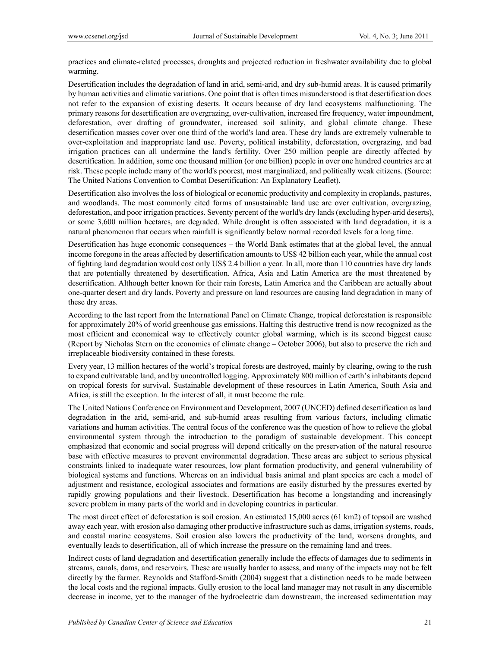practices and climate-related processes, droughts and projected reduction in freshwater availability due to global warming.

Desertification includes the degradation of land in arid, semi-arid, and dry sub-humid areas. It is caused primarily by human activities and climatic variations. One point that is often times misunderstood is that desertification does not refer to the expansion of existing deserts. It occurs because of dry land ecosystems malfunctioning. The primary reasons for desertification are overgrazing, over-cultivation, increased fire frequency, water impoundment, deforestation, over drafting of groundwater, increased soil salinity, and global climate change. These desertification masses cover over one third of the world's land area. These dry lands are extremely vulnerable to over-exploitation and inappropriate land use. Poverty, political instability, deforestation, overgrazing, and bad irrigation practices can all undermine the land's fertility. Over 250 million people are directly affected by desertification. In addition, some one thousand million (or one billion) people in over one hundred countries are at risk. These people include many of the world's poorest, most marginalized, and politically weak citizens. (Source: The United Nations Convention to Combat Desertification: An Explanatory Leaflet).

Desertification also involves the loss of biological or economic productivity and complexity in croplands, pastures, and woodlands. The most commonly cited forms of unsustainable land use are over cultivation, overgrazing, deforestation, and poor irrigation practices. Seventy percent of the world's dry lands (excluding hyper-arid deserts), or some 3,600 million hectares, are degraded. While drought is often associated with land degradation, it is a natural phenomenon that occurs when rainfall is significantly below normal recorded levels for a long time.

Desertification has huge economic consequences – the World Bank estimates that at the global level, the annual income foregone in the areas affected by desertification amounts to US\$ 42 billion each year, while the annual cost of fighting land degradation would cost only US\$ 2.4 billion a year. In all, more than 110 countries have dry lands that are potentially threatened by desertification. Africa, Asia and Latin America are the most threatened by desertification. Although better known for their rain forests, Latin America and the Caribbean are actually about one-quarter desert and dry lands. Poverty and pressure on land resources are causing land degradation in many of these dry areas.

According to the last report from the International Panel on Climate Change, tropical deforestation is responsible for approximately 20% of world greenhouse gas emissions. Halting this destructive trend is now recognized as the most efficient and economical way to effectively counter global warming, which is its second biggest cause (Report by Nicholas Stern on the economics of climate change – October 2006), but also to preserve the rich and irreplaceable biodiversity contained in these forests.

Every year, 13 million hectares of the world's tropical forests are destroyed, mainly by clearing, owing to the rush to expand cultivatable land, and by uncontrolled logging. Approximately 800 million of earth's inhabitants depend on tropical forests for survival. Sustainable development of these resources in Latin America, South Asia and Africa, is still the exception. In the interest of all, it must become the rule.

The United Nations Conference on Environment and Development, 2007 (UNCED) defined desertification as land degradation in the arid, semi-arid, and sub-humid areas resulting from various factors, including climatic variations and human activities. The central focus of the conference was the question of how to relieve the global environmental system through the introduction to the paradigm of sustainable development. This concept emphasized that economic and social progress will depend critically on the preservation of the natural resource base with effective measures to prevent environmental degradation. These areas are subject to serious physical constraints linked to inadequate water resources, low plant formation productivity, and general vulnerability of biological systems and functions. Whereas on an individual basis animal and plant species are each a model of adjustment and resistance, ecological associates and formations are easily disturbed by the pressures exerted by rapidly growing populations and their livestock. Desertification has become a longstanding and increasingly severe problem in many parts of the world and in developing countries in particular.

The most direct effect of deforestation is soil erosion. An estimated 15,000 acres (61 km2) of topsoil are washed away each year, with erosion also damaging other productive infrastructure such as dams, irrigation systems, roads, and coastal marine ecosystems. Soil erosion also lowers the productivity of the land, worsens droughts, and eventually leads to desertification, all of which increase the pressure on the remaining land and trees.

Indirect costs of land degradation and desertification generally include the effects of damages due to sediments in streams, canals, dams, and reservoirs. These are usually harder to assess, and many of the impacts may not be felt directly by the farmer. Reynolds and Stafford-Smith (2004) suggest that a distinction needs to be made between the local costs and the regional impacts. Gully erosion to the local land manager may not result in any discernible decrease in income, yet to the manager of the hydroelectric dam downstream, the increased sedimentation may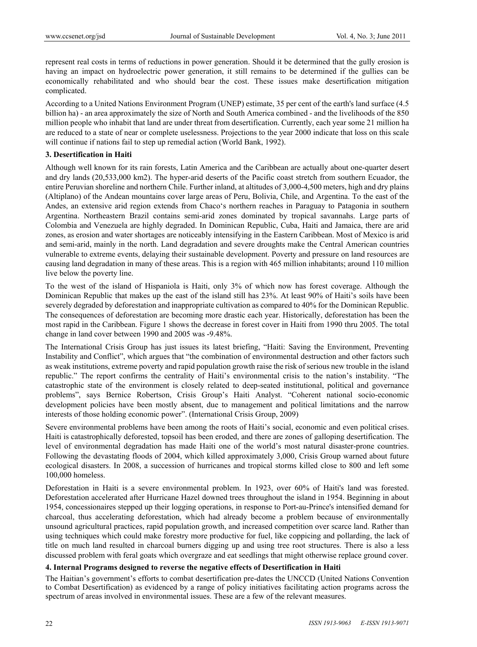represent real costs in terms of reductions in power generation. Should it be determined that the gully erosion is having an impact on hydroelectric power generation, it still remains to be determined if the gullies can be economically rehabilitated and who should bear the cost. These issues make desertification mitigation complicated.

According to a United Nations Environment Program (UNEP) estimate, 35 per cent of the earth's land surface (4.5 billion ha) - an area approximately the size of North and South America combined - and the livelihoods of the 850 million people who inhabit that land are under threat from desertification. Currently, each year some 21 million ha are reduced to a state of near or complete uselessness. Projections to the year 2000 indicate that loss on this scale will continue if nations fail to step up remedial action (World Bank, 1992).

# **3. Desertification in Haiti**

Although well known for its rain forests, Latin America and the Caribbean are actually about one-quarter desert and dry lands (20,533,000 km2). The hyper-arid deserts of the Pacific coast stretch from southern Ecuador, the entire Peruvian shoreline and northern Chile. Further inland, at altitudes of 3,000-4,500 meters, high and dry plains (Altiplano) of the Andean mountains cover large areas of Peru, Bolivia, Chile, and Argentina. To the east of the Andes, an extensive arid region extends from Chaco's northern reaches in Paraguay to Patagonia in southern Argentina. Northeastern Brazil contains semi-arid zones dominated by tropical savannahs. Large parts of Colombia and Venezuela are highly degraded. In Dominican Republic, Cuba, Haiti and Jamaica, there are arid zones, as erosion and water shortages are noticeably intensifying in the Eastern Caribbean. Most of Mexico is arid and semi-arid, mainly in the north. Land degradation and severe droughts make the Central American countries vulnerable to extreme events, delaying their sustainable development. Poverty and pressure on land resources are causing land degradation in many of these areas. This is a region with 465 million inhabitants; around 110 million live below the poverty line.

To the west of the island of Hispaniola is Haiti, only 3% of which now has forest coverage. Although the Dominican Republic that makes up the east of the island still has 23%. At least 90% of Haiti's soils have been severely degraded by deforestation and inappropriate cultivation as compared to 40% for the Dominican Republic. The consequences of deforestation are becoming more drastic each year. Historically, deforestation has been the most rapid in the Caribbean. Figure 1 shows the decrease in forest cover in Haiti from 1990 thru 2005. The total change in land cover between 1990 and 2005 was -9.48%.

The International Crisis Group has just issues its latest briefing, "Haiti: Saving the Environment, Preventing Instability and Conflict", which argues that "the combination of environmental destruction and other factors such as weak institutions, extreme poverty and rapid population growth raise the risk of serious new trouble in the island republic." The report confirms the centrality of Haiti's environmental crisis to the nation's instability. "The catastrophic state of the environment is closely related to deep-seated institutional, political and governance problems", says Bernice Robertson, Crisis Group's Haiti Analyst. "Coherent national socio-economic development policies have been mostly absent, due to management and political limitations and the narrow interests of those holding economic power". (International Crisis Group, 2009)

Severe environmental problems have been among the roots of Haiti's social, economic and even political crises. Haiti is catastrophically deforested, topsoil has been eroded, and there are zones of galloping desertification. The level of environmental degradation has made Haiti one of the world's most natural disaster-prone countries. Following the devastating floods of 2004, which killed approximately 3,000, Crisis Group warned about future ecological disasters. In 2008, a succession of hurricanes and tropical storms killed close to 800 and left some 100,000 homeless.

Deforestation in Haiti is a severe environmental problem. In 1923, over 60% of Haiti's land was forested. Deforestation accelerated after Hurricane Hazel downed trees throughout the island in 1954. Beginning in about 1954, concessionaires stepped up their logging operations, in response to Port-au-Prince's intensified demand for charcoal, thus accelerating deforestation, which had already become a problem because of environmentally unsound agricultural practices, rapid population growth, and increased competition over scarce land. Rather than using techniques which could make forestry more productive for fuel, like coppicing and pollarding, the lack of title on much land resulted in charcoal burners digging up and using tree root structures. There is also a less discussed problem with feral goats which overgraze and eat seedlings that might otherwise replace ground cover.

# **4. Internal Programs designed to reverse the negative effects of Desertification in Haiti**

The Haitian's government's efforts to combat desertification pre-dates the UNCCD (United Nations Convention to Combat Desertification) as evidenced by a range of policy initiatives facilitating action programs across the spectrum of areas involved in environmental issues. These are a few of the relevant measures.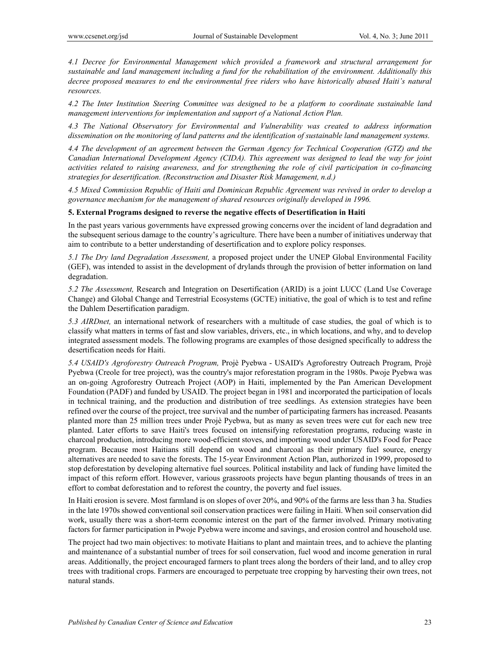*4.1 Decree for Environmental Management which provided a framework and structural arrangement for sustainable and land management including a fund for the rehabilitation of the environment. Additionally this decree proposed measures to end the environmental free riders who have historically abused Haiti's natural resources.* 

*4.2 The Inter Institution Steering Committee was designed to be a platform to coordinate sustainable land management interventions for implementation and support of a National Action Plan.* 

*4.3 The National Observatory for Environmental and Vulnerability was created to address information dissemination on the monitoring of land patterns and the identification of sustainable land management systems.* 

*4.4 The development of an agreement between the German Agency for Technical Cooperation (GTZ) and the Canadian International Development Agency (CIDA). This agreement was designed to lead the way for joint activities related to raising awareness, and for strengthening the role of civil participation in co-financing strategies for desertification. (Reconstruction and Disaster Risk Management, n.d.)* 

*4.5 Mixed Commission Republic of Haiti and Dominican Republic Agreement was revived in order to develop a governance mechanism for the management of shared resources originally developed in 1996.* 

#### **5. External Programs designed to reverse the negative effects of Desertification in Haiti**

In the past years various governments have expressed growing concerns over the incident of land degradation and the subsequent serious damage to the country's agriculture. There have been a number of initiatives underway that aim to contribute to a better understanding of desertification and to explore policy responses.

*5.1 The Dry land Degradation Assessment,* a proposed project under the UNEP Global Environmental Facility (GEF), was intended to assist in the development of drylands through the provision of better information on land degradation.

*5.2 The Assessment,* Research and Integration on Desertification (ARID) is a joint LUCC (Land Use Coverage Change) and Global Change and Terrestrial Ecosystems (GCTE) initiative, the goal of which is to test and refine the Dahlem Desertification paradigm.

*5.3 AIRDnet,* an international network of researchers with a multitude of case studies, the goal of which is to classify what matters in terms of fast and slow variables, drivers, etc., in which locations, and why, and to develop integrated assessment models. The following programs are examples of those designed specifically to address the desertification needs for Haiti.

*5.4 USAID's Agroforestry Outreach Program,* Projè Pyebwa - USAID's Agroforestry Outreach Program, Projè Pyebwa (Creole for tree project), was the country's major reforestation program in the 1980s. Pwoje Pyebwa was an on-going Agroforestry Outreach Project (AOP) in Haiti, implemented by the Pan American Development Foundation (PADF) and funded by USAID. The project began in 1981 and incorporated the participation of locals in technical training, and the production and distribution of tree seedlings. As extension strategies have been refined over the course of the project, tree survival and the number of participating farmers has increased. Peasants planted more than 25 million trees under Projè Pyebwa, but as many as seven trees were cut for each new tree planted. Later efforts to save Haiti's trees focused on intensifying reforestation programs, reducing waste in charcoal production, introducing more wood-efficient stoves, and importing wood under USAID's Food for Peace program. Because most Haitians still depend on wood and charcoal as their primary fuel source, energy alternatives are needed to save the forests. The 15-year Environment Action Plan, authorized in 1999, proposed to stop deforestation by developing alternative fuel sources. Political instability and lack of funding have limited the impact of this reform effort. However, various grassroots projects have begun planting thousands of trees in an effort to combat deforestation and to reforest the country, the poverty and fuel issues.

In Haiti erosion is severe. Most farmland is on slopes of over 20%, and 90% of the farms are less than 3 ha. Studies in the late 1970s showed conventional soil conservation practices were failing in Haiti. When soil conservation did work, usually there was a short-term economic interest on the part of the farmer involved. Primary motivating factors for farmer participation in Pwoje Pyebwa were income and savings, and erosion control and household use.

The project had two main objectives: to motivate Haitians to plant and maintain trees, and to achieve the planting and maintenance of a substantial number of trees for soil conservation, fuel wood and income generation in rural areas. Additionally, the project encouraged farmers to plant trees along the borders of their land, and to alley crop trees with traditional crops. Farmers are encouraged to perpetuate tree cropping by harvesting their own trees, not natural stands.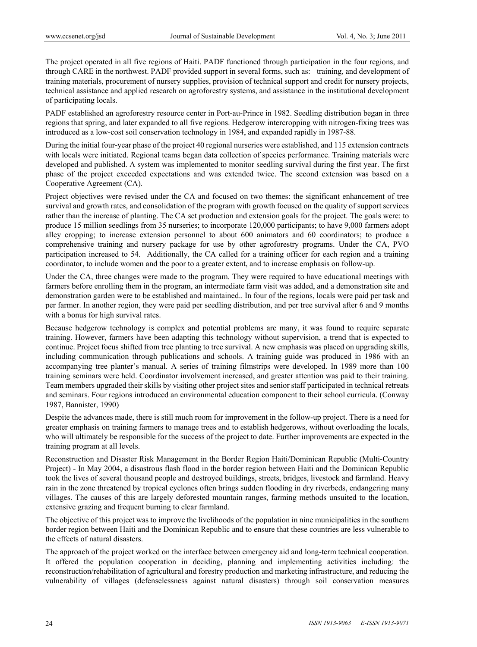The project operated in all five regions of Haiti. PADF functioned through participation in the four regions, and through CARE in the northwest. PADF provided support in several forms, such as: training, and development of training materials, procurement of nursery supplies, provision of technical support and credit for nursery projects, technical assistance and applied research on agroforestry systems, and assistance in the institutional development of participating locals.

PADF established an agroforestry resource center in Port-au-Prince in 1982. Seedling distribution began in three regions that spring, and later expanded to all five regions. Hedgerow intercropping with nitrogen-fixing trees was introduced as a low-cost soil conservation technology in 1984, and expanded rapidly in 1987-88.

During the initial four-year phase of the project 40 regional nurseries were established, and 115 extension contracts with locals were initiated. Regional teams began data collection of species performance. Training materials were developed and published. A system was implemented to monitor seedling survival during the first year. The first phase of the project exceeded expectations and was extended twice. The second extension was based on a Cooperative Agreement (CA).

Project objectives were revised under the CA and focused on two themes: the significant enhancement of tree survival and growth rates, and consolidation of the program with growth focused on the quality of support services rather than the increase of planting. The CA set production and extension goals for the project. The goals were: to produce 15 million seedlings from 35 nurseries; to incorporate 120,000 participants; to have 9,000 farmers adopt alley cropping; to increase extension personnel to about 600 animators and 60 coordinators; to produce a comprehensive training and nursery package for use by other agroforestry programs. Under the CA, PVO participation increased to 54. Additionally, the CA called for a training officer for each region and a training coordinator, to include women and the poor to a greater extent, and to increase emphasis on follow-up.

Under the CA, three changes were made to the program. They were required to have educational meetings with farmers before enrolling them in the program, an intermediate farm visit was added, and a demonstration site and demonstration garden were to be established and maintained.. In four of the regions, locals were paid per task and per farmer. In another region, they were paid per seedling distribution, and per tree survival after 6 and 9 months with a bonus for high survival rates.

Because hedgerow technology is complex and potential problems are many, it was found to require separate training. However, farmers have been adapting this technology without supervision, a trend that is expected to continue. Project focus shifted from tree planting to tree survival. A new emphasis was placed on upgrading skills, including communication through publications and schools. A training guide was produced in 1986 with an accompanying tree planter's manual. A series of training filmstrips were developed. In 1989 more than 100 training seminars were held. Coordinator involvement increased, and greater attention was paid to their training. Team members upgraded their skills by visiting other project sites and senior staff participated in technical retreats and seminars. Four regions introduced an environmental education component to their school curricula. (Conway 1987, Bannister, 1990)

Despite the advances made, there is still much room for improvement in the follow-up project. There is a need for greater emphasis on training farmers to manage trees and to establish hedgerows, without overloading the locals, who will ultimately be responsible for the success of the project to date. Further improvements are expected in the training program at all levels.

Reconstruction and Disaster Risk Management in the Border Region Haiti/Dominican Republic (Multi-Country Project) - In May 2004, a disastrous flash flood in the border region between Haiti and the Dominican Republic took the lives of several thousand people and destroyed buildings, streets, bridges, livestock and farmland. Heavy rain in the zone threatened by tropical cyclones often brings sudden flooding in dry riverbeds, endangering many villages. The causes of this are largely deforested mountain ranges, farming methods unsuited to the location, extensive grazing and frequent burning to clear farmland.

The objective of this project was to improve the livelihoods of the population in nine municipalities in the southern border region between Haiti and the Dominican Republic and to ensure that these countries are less vulnerable to the effects of natural disasters.

The approach of the project worked on the interface between emergency aid and long-term technical cooperation. It offered the population cooperation in deciding, planning and implementing activities including: the reconstruction/rehabilitation of agricultural and forestry production and marketing infrastructure, and reducing the vulnerability of villages (defenselessness against natural disasters) through soil conservation measures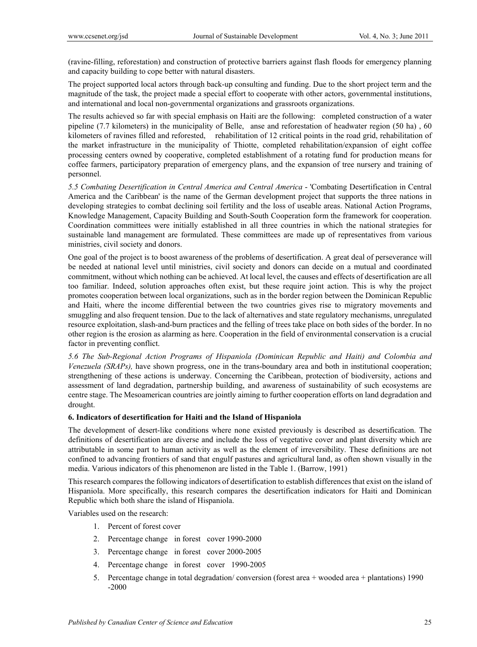(ravine-filling, reforestation) and construction of protective barriers against flash floods for emergency planning and capacity building to cope better with natural disasters.

The project supported local actors through back-up consulting and funding. Due to the short project term and the magnitude of the task, the project made a special effort to cooperate with other actors, governmental institutions, and international and local non-governmental organizations and grassroots organizations.

The results achieved so far with special emphasis on Haiti are the following: completed construction of a water pipeline (7.7 kilometers) in the municipality of Belle, anse and reforestation of headwater region (50 ha) , 60 kilometers of ravines filled and reforested, rehabilitation of 12 critical points in the road grid, rehabilitation of the market infrastructure in the municipality of Thiotte, completed rehabilitation/expansion of eight coffee processing centers owned by cooperative, completed establishment of a rotating fund for production means for coffee farmers, participatory preparation of emergency plans, and the expansion of tree nursery and training of personnel.

*5.5 Combating Desertification in Central America and Central America* - 'Combating Desertification in Central America and the Caribbean' is the name of the German development project that supports the three nations in developing strategies to combat declining soil fertility and the loss of useable areas. National Action Programs, Knowledge Management, Capacity Building and South-South Cooperation form the framework for cooperation. Coordination committees were initially established in all three countries in which the national strategies for sustainable land management are formulated. These committees are made up of representatives from various ministries, civil society and donors.

One goal of the project is to boost awareness of the problems of desertification. A great deal of perseverance will be needed at national level until ministries, civil society and donors can decide on a mutual and coordinated commitment, without which nothing can be achieved. At local level, the causes and effects of desertification are all too familiar. Indeed, solution approaches often exist, but these require joint action. This is why the project promotes cooperation between local organizations, such as in the border region between the Dominican Republic and Haiti, where the income differential between the two countries gives rise to migratory movements and smuggling and also frequent tension. Due to the lack of alternatives and state regulatory mechanisms, unregulated resource exploitation, slash-and-burn practices and the felling of trees take place on both sides of the border. In no other region is the erosion as alarming as here. Cooperation in the field of environmental conservation is a crucial factor in preventing conflict.

*5.6 The Sub-Regional Action Programs of Hispaniola (Dominican Republic and Haiti) and Colombia and Venezuela (SRAPs),* have shown progress, one in the trans-boundary area and both in institutional cooperation; strengthening of these actions is underway. Concerning the Caribbean, protection of biodiversity, actions and assessment of land degradation, partnership building, and awareness of sustainability of such ecosystems are centre stage. The Mesoamerican countries are jointly aiming to further cooperation efforts on land degradation and drought.

# **6. Indicators of desertification for Haiti and the Island of Hispaniola**

The development of desert-like conditions where none existed previously is described as desertification. The definitions of desertification are diverse and include the loss of vegetative cover and plant diversity which are attributable in some part to human activity as well as the element of irreversibility. These definitions are not confined to advancing frontiers of sand that engulf pastures and agricultural land, as often shown visually in the media. Various indicators of this phenomenon are listed in the Table 1. (Barrow, 1991)

This research compares the following indicators of desertification to establish differences that exist on the island of Hispaniola. More specifically, this research compares the desertification indicators for Haiti and Dominican Republic which both share the island of Hispaniola.

Variables used on the research:

- 1. Percent of forest cover
- 2. Percentage change in forest cover 1990-2000
- 3. Percentage change in forest cover 2000-2005
- 4. Percentage change in forest cover 1990-2005
- 5. Percentage change in total degradation/ conversion (forest area + wooded area + plantations) 1990 -2000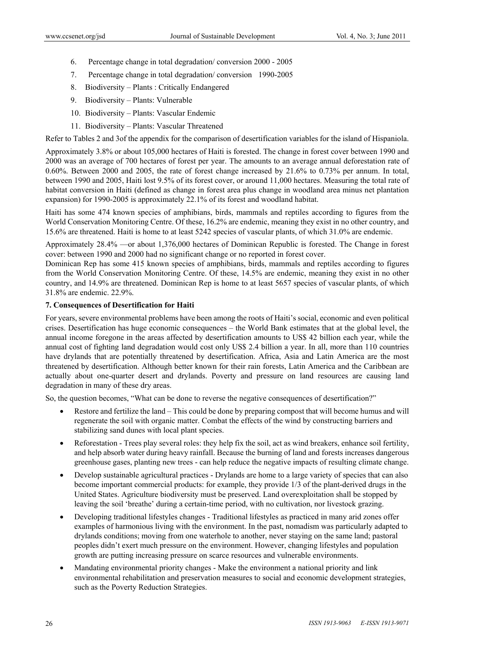- 6. Percentage change in total degradation/ conversion 2000 2005
- 7. Percentage change in total degradation/ conversion 1990-2005
- 8. Biodiversity Plants : Critically Endangered
- 9. Biodiversity Plants: Vulnerable
- 10. Biodiversity Plants: Vascular Endemic
- 11. Biodiversity Plants: Vascular Threatened

Refer to Tables 2 and 3of the appendix for the comparison of desertification variables for the island of Hispaniola.

Approximately 3.8% or about 105,000 hectares of Haiti is forested. The change in forest cover between 1990 and 2000 was an average of 700 hectares of forest per year. The amounts to an average annual deforestation rate of 0.60%. Between 2000 and 2005, the rate of forest change increased by 21.6% to 0.73% per annum. In total, between 1990 and 2005, Haiti lost 9.5% of its forest cover, or around 11,000 hectares. Measuring the total rate of habitat conversion in Haiti (defined as change in forest area plus change in woodland area minus net plantation expansion) for 1990-2005 is approximately 22.1% of its forest and woodland habitat.

Haiti has some 474 known species of amphibians, birds, mammals and reptiles according to figures from the World Conservation Monitoring Centre. Of these, 16.2% are endemic, meaning they exist in no other country, and 15.6% are threatened. Haiti is home to at least 5242 species of vascular plants, of which 31.0% are endemic.

Approximately 28.4% —or about 1,376,000 hectares of Dominican Republic is forested. The Change in forest cover: between 1990 and 2000 had no significant change or no reported in forest cover.

Dominican Rep has some 415 known species of amphibians, birds, mammals and reptiles according to figures from the World Conservation Monitoring Centre. Of these, 14.5% are endemic, meaning they exist in no other country, and 14.9% are threatened. Dominican Rep is home to at least 5657 species of vascular plants, of which 31.8% are endemic. 22.9%.

# **7. Consequences of Desertification for Haiti**

For years, severe environmental problems have been among the roots of Haiti's social, economic and even political crises. Desertification has huge economic consequences – the World Bank estimates that at the global level, the annual income foregone in the areas affected by desertification amounts to US\$ 42 billion each year, while the annual cost of fighting land degradation would cost only US\$ 2.4 billion a year. In all, more than 110 countries have drylands that are potentially threatened by desertification. Africa, Asia and Latin America are the most threatened by desertification. Although better known for their rain forests, Latin America and the Caribbean are actually about one-quarter desert and drylands. Poverty and pressure on land resources are causing land degradation in many of these dry areas.

So, the question becomes, "What can be done to reverse the negative consequences of desertification?"

- Restore and fertilize the land This could be done by preparing compost that will become humus and will regenerate the soil with organic matter. Combat the effects of the wind by constructing barriers and stabilizing sand dunes with local plant species.
- Reforestation Trees play several roles: they help fix the soil, act as wind breakers, enhance soil fertility, and help absorb water during heavy rainfall. Because the burning of land and forests increases dangerous greenhouse gases, planting new trees - can help reduce the negative impacts of resulting climate change.
- Develop sustainable agricultural practices Drylands are home to a large variety of species that can also become important commercial products: for example, they provide 1/3 of the plant-derived drugs in the United States. Agriculture biodiversity must be preserved. Land overexploitation shall be stopped by leaving the soil 'breathe' during a certain-time period, with no cultivation, nor livestock grazing.
- Developing traditional lifestyles changes Traditional lifestyles as practiced in many arid zones offer examples of harmonious living with the environment. In the past, nomadism was particularly adapted to drylands conditions; moving from one waterhole to another, never staying on the same land; pastoral peoples didn't exert much pressure on the environment. However, changing lifestyles and population growth are putting increasing pressure on scarce resources and vulnerable environments.
- Mandating environmental priority changes Make the environment a national priority and link environmental rehabilitation and preservation measures to social and economic development strategies, such as the Poverty Reduction Strategies.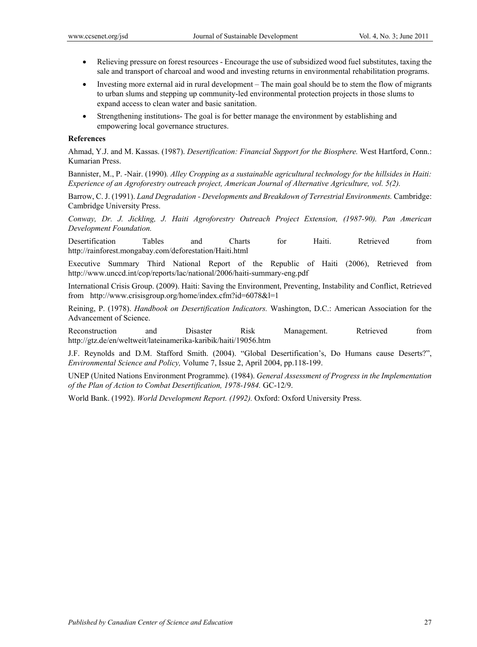- Relieving pressure on forest resources Encourage the use of subsidized wood fuel substitutes, taxing the sale and transport of charcoal and wood and investing returns in environmental rehabilitation programs.
- Investing more external aid in rural development The main goal should be to stem the flow of migrants to urban slums and stepping up community-led environmental protection projects in those slums to expand access to clean water and basic sanitation.
- Strengthening institutions- The goal is for better manage the environment by establishing and empowering local governance structures.

#### **References**

Ahmad, Y.J. and M. Kassas. (1987). *Desertification: Financial Support for the Biosphere.* West Hartford, Conn.: Kumarian Press.

Bannister, M., P. -Nair. (1990)*. Alley Cropping as a sustainable agricultural technology for the hillsides in Haiti: Experience of an Agroforestry outreach project, American Journal of Alternative Agriculture, vol. 5(2).*

Barrow, C. J. (1991). *Land Degradation - Developments and Breakdown of Terrestrial Environments.* Cambridge: Cambridge University Press.

*Conway, Dr. J. Jickling, J. Haiti Agroforestry Outreach Project Extension, (1987-90). Pan American Development Foundation.* 

Desertification Tables and Charts for Haiti. Retrieved from http://rainforest.mongabay.com/deforestation/Haiti.html

Executive Summary Third National Report of the Republic of Haiti (2006), Retrieved from http://www.unccd.int/cop/reports/lac/national/2006/haiti-summary-eng.pdf

International Crisis Group. (2009). Haiti: Saving the Environment, Preventing, Instability and Conflict, Retrieved from http://www.crisisgroup.org/home/index.cfm?id=6078&l=1

Reining, P. (1978). *Handbook on Desertification Indicators.* Washington, D.C.: American Association for the Advancement of Science.

Reconstruction and Disaster Risk Management. Retrieved from http://gtz.de/en/weltweit/lateinamerika-karibik/haiti/19056.htm

J.F. Reynolds and D.M. Stafford Smith. (2004). "Global Desertification's, Do Humans cause Deserts?", *Environmental Science and Policy,* Volume 7, Issue 2, April 2004, pp.118-199.

UNEP (United Nations Environment Programme). (1984). *General Assessment of Progress in the Implementation of the Plan of Action to Combat Desertification, 1978-1984.* GC-12/9.

World Bank. (1992). *World Development Report. (1992).* Oxford: Oxford University Press.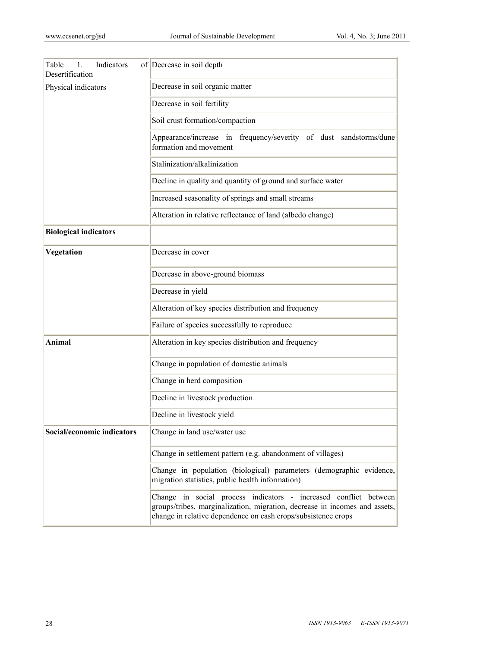| Table<br>Indicators<br>1.<br>Desertification | of Decrease in soil depth                                                                                                                                                                                       |
|----------------------------------------------|-----------------------------------------------------------------------------------------------------------------------------------------------------------------------------------------------------------------|
| Physical indicators                          | Decrease in soil organic matter                                                                                                                                                                                 |
|                                              | Decrease in soil fertility                                                                                                                                                                                      |
|                                              | Soil crust formation/compaction                                                                                                                                                                                 |
|                                              | Appearance/increase in frequency/severity of dust sandstorms/dune<br>formation and movement                                                                                                                     |
|                                              | Stalinization/alkalinization                                                                                                                                                                                    |
|                                              | Decline in quality and quantity of ground and surface water                                                                                                                                                     |
|                                              | Increased seasonality of springs and small streams                                                                                                                                                              |
|                                              | Alteration in relative reflectance of land (albedo change)                                                                                                                                                      |
| <b>Biological indicators</b>                 |                                                                                                                                                                                                                 |
| Vegetation                                   | Decrease in cover                                                                                                                                                                                               |
|                                              | Decrease in above-ground biomass                                                                                                                                                                                |
|                                              | Decrease in yield                                                                                                                                                                                               |
|                                              | Alteration of key species distribution and frequency                                                                                                                                                            |
|                                              | Failure of species successfully to reproduce                                                                                                                                                                    |
| Animal                                       | Alteration in key species distribution and frequency                                                                                                                                                            |
|                                              | Change in population of domestic animals                                                                                                                                                                        |
|                                              | Change in herd composition                                                                                                                                                                                      |
|                                              | Decline in livestock production                                                                                                                                                                                 |
|                                              | Decline in livestock yield                                                                                                                                                                                      |
| Social/economic indicators                   | Change in land use/water use                                                                                                                                                                                    |
|                                              | Change in settlement pattern (e.g. abandonment of villages)                                                                                                                                                     |
|                                              | Change in population (biological) parameters (demographic evidence,<br>migration statistics, public health information)                                                                                         |
|                                              | Change in social process indicators - increased conflict between<br>groups/tribes, marginalization, migration, decrease in incomes and assets,<br>change in relative dependence on cash crops/subsistence crops |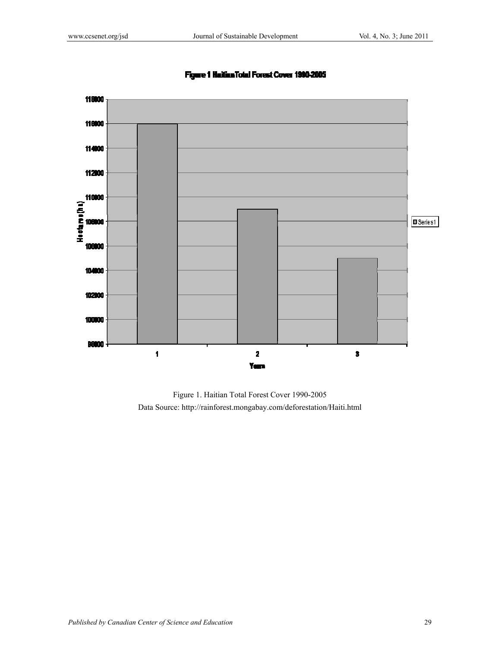

# Figure 1 Haitian Total Forest Cover 1990-2005

Figure 1. Haitian Total Forest Cover 1990-2005 Data Source: http://rainforest.mongabay.com/deforestation/Haiti.html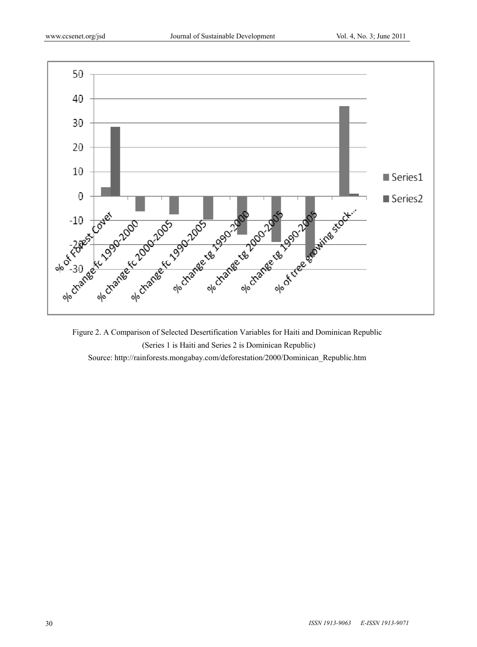

Figure 2. A Comparison of Selected Desertification Variables for Haiti and Dominican Republic (Series 1 is Haiti and Series 2 is Dominican Republic) Source: http://rainforests.mongabay.com/deforestation/2000/Dominican\_Republic.htm